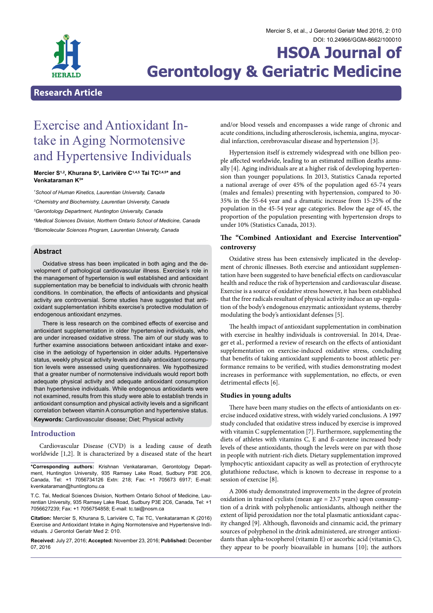

#### Mercier S, et al., J Gerontol Geriatr Med 2016, 2: 010 DOI: [10.24966/GGM-8662/100010](http://dx.doi.org/10.24966/GGM-8662/100010)

# **HSOA Journal of Gerontology & Geriatric Medicine**

## **Research Article**

# Exercise and Antioxidant In- take in Aging Normotensive and Hypertensive Individuals

#### **Mercier S1,2, Khurana S4 , Larivière C1,4,5 Tai TC2,4,5\* and Venkataraman K3 \***

 *School of Human Kinetics, Laurentian University, Canada Chemistry and Biochemistry, Laurentian University, Canada Gerontology Department, Huntington University, Canada Medical Sciences Division, Northern Ontario School of Medicine, Canada Biomolecular Sciences Program, Laurentian University, Canada*

#### **Abstract**

Oxidative stress has been implicated in both aging and the development of pathological cardiovascular illness. Exercise's role in the management of hypertension is well established and antioxidant supplementation may be beneficial to individuals with chronic health conditions. In combination, the effects of antioxidants and physical activity are controversial. Some studies have suggested that antioxidant supplementation inhibits exercise's protective modulation of endogenous antioxidant enzymes.

There is less research on the combined effects of exercise and antioxidant supplementation in older hypertensive individuals, who are under increased oxidative stress. The aim of our study was to further examine associations between antioxidant intake and exercise in the aetiology of hypertension in older adults. Hypertensive status, weekly physical activity levels and daily antioxidant consumption levels were assessed using questionnaires. We hypothesized that a greater number of normotensive individuals would report both adequate physical activity and adequate antioxidant consumption than hypertensive individuals. While endogenous antioxidants were not examined, results from this study were able to establish trends in antioxidant consumption and physical activity levels and a significant correlation between vitamin A consumption and hypertensive status. **Keywords:** Cardiovascular disease; Diet; Physical activity

#### **Introduction**

Cardiovascular Disease (CVD) is a leading cause of death worldwide [1,2]. It is characterized by a diseased state of the heart

**\*Corresponding authors:** Krishnan Venkataraman, Gerontology Depart- ment, Huntington University, 935 Ramsey Lake Road, Sudbury P3E 2C6, Canada, Tel: +1 7056734126 Extn: 218; Fax: +1 705673 6917; E-mail: kvenkataraman@huntingtonu.ca

T.C. Tai, Medical Sciences Division, Northern Ontario School of Medicine, Lau- rentian University, 935 Ramsey Lake Road, Sudbury P3E 2C6, Canada, Tel: +1 7056627239; Fax: +1 7056754858; E-mail: tc.tai@nosm.ca

**Citation:** Mercier S, Khurana S, Larivière C, Tai TC, Venkataraman K (2016) Exercise and Antioxidant Intake in Aging Normotensive and Hypertensive Indi- viduals. J Gerontol Geriatr Med 2: 010.

**Received:** July 27, 2016; **Accepted:** November 23, 2016; **Published:** December 07, 2016

and/or blood vessels and encompasses a wide range of chronic and acute conditions, including atherosclerosis, ischemia, angina, myocardial infarction, cerebrovascular disease and hypertension [3].

Hypertension itself is extremely widespread with one billion people affected worldwide, leading to an estimated million deaths annually [4]. Aging individuals are at a higher risk of developing hypertension than younger populations. In 2013, Statistics Canada reported a national average of over 45% of the population aged 65-74 years (males and females) presenting with hypertension, compared to 30- 35% in the 55-64 year and a dramatic increase from 15-25% of the population in the 45-54 year age categories. Below the age of 45, the proportion of the population presenting with hypertension drops to under 10% (Statistics Canada, 2013).

### **The "Combined Antioxidant and Exercise Intervention" controversy**

Oxidative stress has been extensively implicated in the development of chronic illnesses. Both exercise and antioxidant supplementation have been suggested to have beneficial effects on cardiovascular health and reduce the risk of hypertension and cardiovascular disease. Exercise is a source of oxidative stress however, it has been established that the free radicals resultant of physical activity induce an up-regulation of the body's endogenous enzymatic antioxidant systems, thereby modulating the body's antioxidant defenses [5].

The health impact of antioxidant supplementation in combination with exercise in healthy individuals is controversial. In 2014, Draeger et al., performed a review of research on the effects of antioxidant supplementation on exercise-induced oxidative stress, concluding that benefits of taking antioxidant supplements to boost athletic performance remains to be verified, with studies demonstrating modest increases in performance with supplementation, no effects, or even detrimental effects [6].

#### **Studies in young adults**

There have been many studies on the effects of antioxidants on exercise induced oxidative stress, with widely varied conclusions. A 1997 study concluded that oxidative stress induced by exercise is improved with vitamin C supplementation [7]. Furthermore, supplementing the diets of athletes with vitamins C, E and ß-carotene increased body levels of these antioxidants, though the levels were on par with those in people with nutrient-rich diets. Dietary supplementation improved lymphocytic antioxidant capacity as well as protection of erythrocyte glutathione reductase, which is known to decrease in response to a session of exercise [8].

A 2006 study demonstrated improvements in the degree of protein oxidation in trained cyclists (mean age = 23.7 years) upon consumption of a drink with polyphenolic antioxidants, although neither the extent of lipid peroxidation nor the total plasmatic antioxidant capacity changed [9]. Although, flavonoids and cinnamic acid, the primary sources of polyphenol in the drink administered, are stronger antioxidants than alpha-tocopherol (vitamin E) or ascorbic acid (vitamin C), they appear to be poorly bioavailable in humans [10]; the authors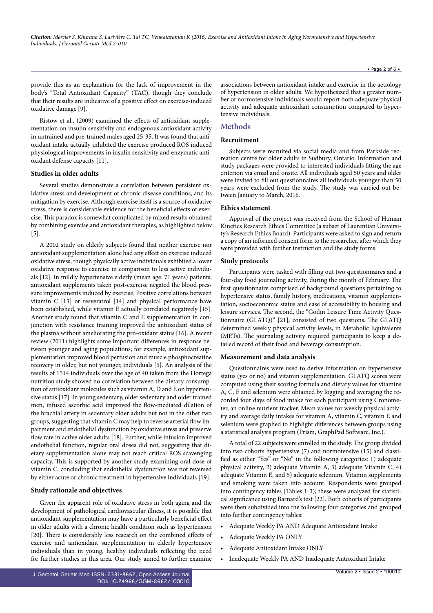provide this as an explanation for the lack of improvement in the body's "Total Antioxidant Capacity" (TAC), though they conclude that their results are indicative of a positive effect on exercise-induced oxidative damage [9].

Ristow et al., (2009) examined the effects of antioxidant supplementation on insulin sensitivity and endogenous antioxidant activity in untrained and pre-trained males aged 25-35. It was found that antioxidant intake actually inhibited the exercise produced ROS induced physiological improvements in insulin sensitivity and enzymatic antioxidant defense capacity [11].

#### **Studies in older adults**

Several studies demonstrate a correlation between persistent oxidative stress and development of chronic disease conditions, and its mitigation by exercise. Although exercise itself is a source of oxidative stress, there is considerable evidence for the beneficial effects of exercise. This paradox is somewhat complicated by mixed results obtained by combining exercise and antioxidant therapies, as highlighted below [5].

A 2002 study on elderly subjects found that neither exercise nor antioxidant supplementation alone had any effect on exercise induced oxidative stress, though physically active individuals exhibited a lower oxidative response to exercise in comparison to less active individuals [12]. In mildly hypertensive elderly (mean age: 71 years) patients, antioxidant supplements taken post-exercise negated the blood pressure improvements induced by exercise. Positive correlations between vitamin C [13] or resveratrol [14] and physical performance have been established, while vitamin E actually correlated negatively [15]. Another study found that vitamin C and E supplementation in conjunction with resistance training improved the antioxidant status of the plasma without ameliorating the pro-oxidant status [16]. A recent review (2011) highlights some important differences in response between younger and aging populations; for example, antioxidant supplementation improved blood perfusion and muscle phosphocreatine recovery in older, but not younger, individuals [5]. An analysis of the results of 1514 individuals over the age of 40 taken from the Hortega nutrition study showed no correlation between the dietary consumption of antioxidant molecules such as vitamin A, D and E on hypertensive status [17]. In young sedentary, older sedentary and older trained men, infused ascorbic acid improved the flow-mediated dilation of the brachial artery in sedentary older adults but not in the other two groups, suggesting that vitamin C may help to reverse arterial flow impairment and endothelial dysfunction by oxidative stress and preserve flow rate in active older adults [18]. Further, while infusion improved endothelial function, regular oral doses did not, suggesting that dietary supplementation alone may not reach critical ROS scavenging capacity. This is supported by another study examining oral dose of vitamin C, concluding that endothelial dysfunction was not reversed by either acute or chronic treatment in hypertensive individuals [19].

#### **Study rationale and objectives**

Given the apparent role of oxidative stress in both aging and the development of pathological cardiovascular illness, it is possible that antioxidant supplementation may have a particularly beneficial effect in older adults with a chronic health condition such as hypertension [20]. There is considerably less research on the combined effects of exercise and antioxidant supplementation in elderly hypertensive individuals than in young, healthy individuals reflecting the need for further studies in this area. Our study aimed to further examine

associations between antioxidant intake and exercise in the aetiology of hypertension in older adults. We hypothesized that a greater number of normotensive individuals would report both adequate physical activity and adequate antioxidant consumption compared to hypertensive individuals.

#### **Methods**

#### **Recruitment**

Subjects were recruited via social media and from Parkside recreation centre for older adults in Sudbury, Ontario. Information and study packages were provided to interested individuals fitting the age criterion via email and onsite. All individuals aged 50 years and older were invited to fill out questionnaires all individuals younger than 50 years were excluded from the study. The study was carried out between January to March, 2016.

#### **Ethics statement**

Approval of the project was received from the School of Human Kinetics Research Ethics Committee (a subset of Laurentian University's Research Ethics Board). Participants were asked to sign and return a copy of an informed consent form to the researcher, after which they were provided with further instruction and the study forms.

#### **Study protocols**

Participants were tasked with filling out two questionnaires and a four-day food journaling activity, during the month of February. The first questionnaire comprised of background questions pertaining to hypertensive status, family history, medications, vitamin supplementation, socioeconomic status and ease of accessibility to housing and leisure services. The second, the "Godin Leisure Time Activity Questionnaire (GLATQ)" [21], consisted of two questions. The GLATQ determined weekly physical activity levels, in Metabolic Equivalents (METs). The journaling activity required participants to keep a detailed record of their food and beverage consumption.

#### **Measurement and data analysis**

Questionnaires were used to derive information on hypertensive status (yes or no) and vitamin supplementation. GLATQ scores were computed using their scoring formula and dietary values for vitamins A, C, E and selenium were obtained by logging and averaging the recorded four days of food intake for each participant using Cronometer, an online nutrient tracker. Mean values for weekly physical activity and average daily intakes for vitamin A, vitamin C, vitamin E and selenium were graphed to highlight differences between groups using a statistical analysis program (Prism, GraphPad Software, Inc.).

A total of 22 subjects were enrolled in the study. The group divided into two cohorts hypertensive (7) and normotensive (15) and classified as either "Yes" or "No" in the following categories: 1) adequate physical activity, 2) adequate Vitamin A, 3) adequate Vitamin C, 4) adequate Vitamin E, and 5) adequate selenium. Vitamin supplements and smoking were taken into account. Respondents were grouped into contingency tables (Tables 1-3); these were analyzed for statistical significance using Barnard's test [22]. Both cohorts of participants were then subdivided into the following four categories and grouped into further contingency tables:

- • Adequate Weekly PA AND Adequate Antioxidant Intake
- Adequate Weekly PA ONLY
- Adequate Antioxidant Intake ONLY
- Inadequate Weekly PA AND Inadequate Antioxidant Intake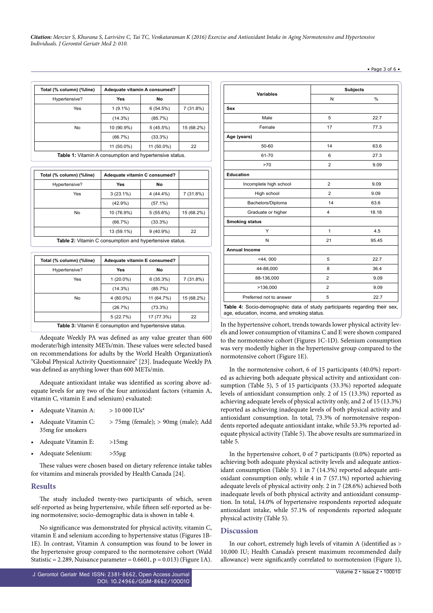*Citation: Mercier S, Khurana S, Larivière C, Tai TC, Venkataraman K (2016) Exercise and Antioxidant Intake in Aging Normotensive and Hypertensive Individuals. J Gerontol Geriatr Med 2: 010.*

| Total (% column) (%line)                                       | Adequate vitamin A consumed? |            |            |
|----------------------------------------------------------------|------------------------------|------------|------------|
| Hypertensive?                                                  | Yes                          | No         |            |
| Yes                                                            | $1(9.1\%)$                   | 6(54.5%)   | 7 (31.8%)  |
|                                                                | $(14.3\%)$                   | $(85.7\%)$ |            |
| No                                                             | 10 (90.9%)                   | 5(45.5%)   | 15 (68.2%) |
|                                                                | (66.7%)                      | $(33.3\%)$ |            |
|                                                                | 11 (50.0%)                   | 11 (50.0%) | 22         |
| <b>Table 1:</b> Vitamin A consumption and hypertensive status. |                              |            |            |

| Total (% column) (%line)                                               | Adequate vitamin C consumed? |             |            |  |
|------------------------------------------------------------------------|------------------------------|-------------|------------|--|
| Hypertensive?                                                          | Yes                          | No          |            |  |
| Yes                                                                    | $3(23.1\%)$                  | $4(44.4\%)$ | 7(31.8%)   |  |
|                                                                        | $(42.9\%)$                   | $(57.1\%)$  |            |  |
| No                                                                     | 10 (76.9%)                   | $5(55.6\%)$ | 15 (68.2%) |  |
|                                                                        | (66.7%)                      | $(33.3\%)$  |            |  |
|                                                                        | 13 (59.1%)                   | $9(40.9\%)$ | 22         |  |
| $\mathsf{Table 2:}$ Vitamin $\cap$ consumption and bypartonsive status |                              |             |            |  |

**Table 2:** Vitamin C consumption and hypertensive status.

| Total (% column) (%line)                                       | Adequate vitamin E consumed? |            |            |  |
|----------------------------------------------------------------|------------------------------|------------|------------|--|
| Hypertensive?                                                  | Yes                          | No         |            |  |
| Yes                                                            | $1(20.0\%)$                  | 6(35.3%)   | 7 (31.8%)  |  |
|                                                                | $(14.3\%)$                   | (85.7%)    |            |  |
| No                                                             | 4 (80.0%)                    | 11 (64.7%) | 15 (68.2%) |  |
|                                                                | (26.7%)                      | $(73.3\%)$ |            |  |
|                                                                | 5(22.7%)                     | 17 (77.3%) | 22         |  |
| <b>Table 3:</b> Vitamin E consumption and hypertensive status. |                              |            |            |  |

Adequate Weekly PA was defined as any value greater than 600 moderate/high intensity METs/min. These values were selected based on recommendations for adults by the World Health Organization's "Global Physical Activity Questionnaire" [23]. Inadequate Weekly PA was defined as anything lower than 600 METs/min.

Adequate antioxidant intake was identified as scoring above adequate levels for any two of the four antioxidant factors (vitamin A, vitamin C, vitamin E and selenium) evaluated:

|  |  | Adequate Vitamin A: | $> 10000$ IUs <sup>*</sup> |  |
|--|--|---------------------|----------------------------|--|
|--|--|---------------------|----------------------------|--|

- Adequate Vitamin C: > 75mg (female); > 90mg (male); Add 35mg for smokers
- Adequate Vitamin E: >15mg
- • Adequate Selenium: >55µg

These values were chosen based on dietary reference intake tables for vitamins and minerals provided by Health Canada [24].

#### **Results**

The study included twenty-two participants of which, seven self-reported as being hypertensive, while fifteen self-reported as being normotensive; socio-demographic data is shown in table 4.

No significance was demonstrated for physical activity, vitamin C, vitamin E and selenium according to hypertensive status (Figures 1B-1E). In contrast, Vitamin A consumption was found to be lower in the hypertensive group compared to the normotensive cohort (Wald Statistic = 2.289, Nuisance parameter =  $0.6601$ , p =  $0.013$ ) (Figure 1A).

| <b>Variables</b>        |                | <b>Subjects</b> |
|-------------------------|----------------|-----------------|
|                         | N              | %               |
| Sex                     |                |                 |
| Male                    | 5              | 22.7            |
| Female                  | 17             | 77.3            |
| Age (years)             |                |                 |
| 50-60                   | 14             | 63.6            |
| 61-70                   | 6              | 27.3            |
| >70                     | $\overline{2}$ | 9.09            |
| Education               |                |                 |
| Incomplete high school  | $\overline{2}$ | 9.09            |
| High school             | $\overline{2}$ | 9.09            |
| Bachelors/Diploma       | 14             | 63.6            |
| Graduate or higher      | $\overline{4}$ | 18.18           |
| <b>Smoking status</b>   |                |                 |
| Y                       | $\mathbf{1}$   | 4.5             |
| N                       | 21             | 95.45           |
| <b>Annual Income</b>    |                |                 |
| $<$ 44, 000             | 5              | 22.7            |
| 44-88,000               | 8              | 36.4            |
| 88-136,000              | $\overline{2}$ | 9.09            |
| >136,000                | $\overline{2}$ | 9.09            |
| Preferred not to answer | 5              | 22.7            |

In the hypertensive cohort, trends towards lower physical activity levage, education, income, and smoking status.

els and lower consumption of vitamins C and E were shown compared to the normotensive cohort (Figures 1C-1D). Selenium consumption was very modestly higher in the hypertensive group compared to the normotensive cohort (Figure 1E).

In the normotensive cohort, 6 of 15 participants (40.0%) reported as achieving both adequate physical activity and antioxidant consumption (Table 5), 5 of 15 participants (33.3%) reported adequate levels of antioxidant consumption only. 2 of 15 (13.3%) reported as achieving adequate levels of physical activity only, and 2 of 15 (13.3%) reported as achieving inadequate levels of both physical activity and antioxidant consumption. In total, 73.3% of normotensive respondents reported adequate antioxidant intake, while 53.3% reported adequate physical activity (Table 5). The above results are summarized in table 5.

In the hypertensive cohort, 0 of 7 participants (0.0%) reported as achieving both adequate physical activity levels and adequate antioxidant consumption (Table 5). 1 in 7 (14.3%) reported adequate antioxidant consumption only, while 4 in 7 (57.1%) reported achieving adequate levels of physical activity only. 2 in 7 (28.6%) achieved both inadequate levels of both physical activity and antioxidant consumption. In total, 14.0% of hypertensive respondents reported adequate antioxidant intake, while 57.1% of respondents reported adequate physical activity (Table 5).

#### **Discussion**

In our cohort, extremely high levels of vitamin A (identified as > 10,000 IU; Health Canada's present maximum recommended daily allowance) were significantly correlated to normotension (Figure 1),

#### • Page 3 of 6 •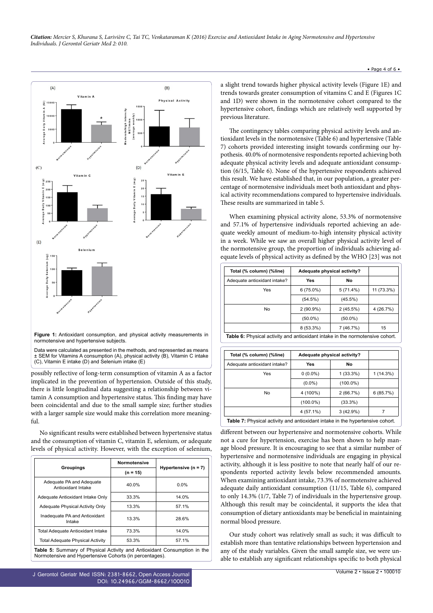

**Figure 1:** Antioxidant consumption, and physical activity measurements in normotensive and hypertensive subjects.

Data were calculated as presented in the methods, and represented as means ± SEM for Vitamins A consumption (A), physical activity (B), Vitamin C intake (C), Vitamin E intake (D) and Selenium intake (E)

possibly reflective of long-term consumption of vitamin A as a factor implicated in the prevention of hypertension. Outside of this study, there is little longitudinal data suggesting a relationship between vitamin A consumption and hypertensive status. This finding may have been coincidental and due to the small sample size; further studies with a larger sample size would make this correlation more meaningful.

No significant results were established between hypertensive status and the consumption of vitamin C, vitamin E, selenium, or adequate levels of physical activity. However, with the exception of selenium,

| <b>Normotensive</b> |                        |
|---------------------|------------------------|
| $(n = 15)$          | Hypertensive $(n = 7)$ |
| 40.0%               | $0.0\%$                |
| 33.3%               | 14.0%                  |
| 13.3%               | 57.1%                  |
| 13.3%               | 28.6%                  |
| 73.3%               | 14.0%                  |
| 53.3%               | 57.1%                  |
|                     |                        |

**Table 5:** Summary of Physical Activity and Antioxidant Consumption in the Normotensive and Hypertensive Cohorts (in percentages).

a slight trend towards higher physical activity levels (Figure 1E) and trends towards greater consumption of vitamins C and E (Figures 1C and 1D) were shown in the normotensive cohort compared to the hypertensive cohort, findings which are relatively well supported by previous literature.

The contingency tables comparing physical activity levels and antioxidant levels in the normotensive (Table 6) and hypertensive (Table 7) cohorts provided interesting insight towards confirming our hypothesis. 40.0% of normotensive respondents reported achieving both adequate physical activity levels and adequate antioxidant consumption (6/15, Table 6). None of the hypertensive respondents achieved this result. We have established that, in our population, a greater percentage of normotensive individuals meet both antioxidant and physical activity recommendations compared to hypertensive individuals. These results are summarized in table 5.

When examining physical activity alone, 53.3% of normotensive and 57.1% of hypertensive individuals reported achieving an adequate weekly amount of medium-to-high intensity physical activity in a week. While we saw an overall higher physical activity level of the normotensive group, the proportion of individuals achieving adequate levels of physical activity as defined by the WHO [23] was not

| Total (% column) (%line)                                                             | Adequate physical activity? |             |            |
|--------------------------------------------------------------------------------------|-----------------------------|-------------|------------|
| Adequate antioxidant intake?                                                         | Yes                         | No          |            |
| Yes                                                                                  | $6(75.0\%)$                 | $5(71.4\%)$ | 11 (73.3%) |
|                                                                                      | (54.5%)                     | $(45.5\%)$  |            |
| No                                                                                   | $2(90.9\%)$                 | $2(45.5\%)$ | 4(26.7%)   |
|                                                                                      | $(50.0\%)$                  | $(50.0\%)$  |            |
|                                                                                      | 8 (53.3%)                   | 7 (46.7%)   | 15         |
| <b>Table 6:</b> Physical activity and antioxidant intake in the normotensive cohort. |                             |             |            |

| Total (% column) (%line)                                                             | Adequate physical activity? |             |          |  |
|--------------------------------------------------------------------------------------|-----------------------------|-------------|----------|--|
| Adequate antioxidant intake?                                                         | Yes                         | No          |          |  |
| Yes                                                                                  | $0(0.0\%)$                  | $1(33.3\%)$ | 1(14.3%) |  |
|                                                                                      | $(0.0\%)$                   | $(100.0\%)$ |          |  |
| No                                                                                   | 4 (100%)                    | 2(66.7%)    | 6(85.7%) |  |
|                                                                                      | $(100.0\%)$                 | $(33.3\%)$  |          |  |
|                                                                                      | $4(57.1\%)$                 | 3(42.9%)    | 7        |  |
| <b>Table 7:</b> Physical activity and antioxidant intake in the hypertensive cohort. |                             |             |          |  |

different between our hypertensive and normotensive cohorts. While not a cure for hypertension, exercise has been shown to help manage blood pressure. It is encouraging to see that a similar number of hypertensive and normotensive individuals are engaging in physical activity, although it is less positive to note that nearly half of our respondents reported activity levels below recommended amounts. When examining antioxidant intake, 73.3% of normotensive achieved adequate daily antioxidant consumption (11/15, Table 6), compared to only 14.3% (1/7, Table 7) of individuals in the hypertensive group. Although this result may be coincidental, it supports the idea that consumption of dietary antioxidants may be beneficial in maintaining normal blood pressure.

Our study cohort was relatively small as such; it was difficult to establish more than tentative relationships between hypertension and any of the study variables. Given the small sample size, we were unable to establish any significant relationships specific to both physical

#### • Page 4 of  $6 \cdot$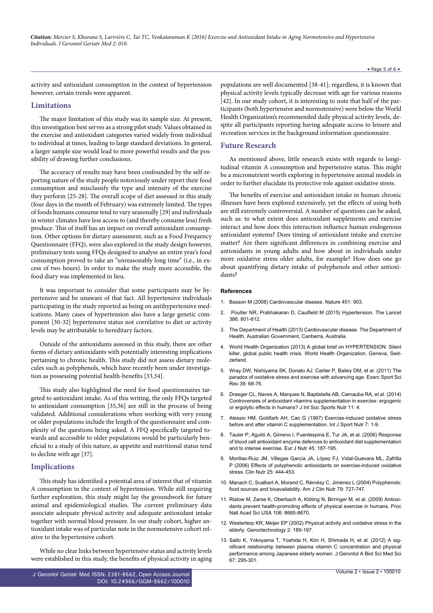activity and antioxidant consumption in the context of hypertension however, certain trends were apparent.

#### **Limitations**

The major limitation of this study was its sample size. At present, this investigation best serves as a strong pilot study. Values obtained in the exercise and antioxidant categories varied widely from individual to individual at times, leading to large standard deviations. In general, a larger sample size would lead to more powerful results and the possibility of drawing further conclusions.

The accuracy of results may have been confounded by the self-reporting nature of the study people notoriously under report their food consumption and misclassify the type and intensity of the exercise they perform [25-28]. The overall scope of diet assessed in this study (four days in the month of February) was extremely limited. The types of foods humans consume tend to vary seasonally [29] and individuals in winter climates have less access to (and thereby consume less) fresh produce. This of itself has an impact on overall antioxidant consumption. Other options for dietary assessment, such as a Food Frequency Questionnaire (FFQ), were also explored in the study design however, preliminary tests using FFQs designed to analyse an entire year's food consumption proved to take an "unreasonably long time" (i.e., in excess of two hours). In order to make the study more accessible, the food diary was implemented in lieu.

It was important to consider that some participants may be hypertensive and be unaware of that fact. All hypertensive individuals participating in the study reported as being on antihypertensive medications. Many cases of hypertension also have a large genetic component [30-32] hypertensive status not correlative to diet or activity levels may be attributable to hereditary factors.

Outside of the antioxidants assessed in this study, there are other forms of dietary antioxidants with potentially interesting implications pertaining to chronic health. This study did not assess dietary molecules such as polyphenols, which have recently been under investigation as possessing potential health-benefits [33,34].

This study also highlighted the need for food questionnaires targeted to antioxidant intake. As of this writing, the only FFQs targeted to antioxidant consumption [35,36] are still in the process of being validated. Additional considerations when working with very young or older populations include the length of the questionnaire and complexity of the questions being asked. A FFQ specifically targeted towards and accessible to older populations would be particularly beneficial to a study of this nature, as appetite and nutritional status tend to decline with age [37].

#### **Implications**

This study has identified a potential area of interest that of vitamin A consumption in the context of hypertension. While still requiring further exploration, this study might lay the groundwork for future animal and epidemiological studies. The current preliminary data associate adequate physical activity and adequate antioxidant intake together with normal blood pressure. In our study cohort, higher antioxidant intake was of particular note in the normotensive cohort relative to the hypertensive cohort.

While no clear links between hypertensive status and activity levels were established in this study, the benefits of physical activity in aging populations are well documented [38-41]; regardless, it is known that physical activity levels typically decrease with age for various reasons [42]. In our study cohort, it is interesting to note that half of the participants (both hypertensive and normotensive) were below the World Health Organization's recommended daily physical activity levels, despite all participants reporting having adequate access to leisure and recreation services in the background information questionnaire.

#### **Future Research**

As mentioned above, little research exists with regards to longitudinal vitamin A consumption and hypertensive status. This might be a micronutrient worth exploring in hypertensive animal models in order to further elucidate its protective role against oxidative stress.

The benefits of exercise and antioxidant intake in human chronic illnesses have been explored extensively, yet the effects of using both are still extremely controversial. A number of questions can be asked, such as: to what extent does antioxidant supplements and exercise interact and how does this interaction influence human endogenous antioxidant systems? Does timing of antioxidant intake and exercise matter? Are there significant differences in combining exercise and antioxidants in young adults and how about in individuals under more oxidative stress older adults, for example? How does one go about quantifying dietary intake of polyphenols and other antioxidants?

#### **References**

- 1. [Basson M \(2008\) Cardiovascular disease. Nature 451: 903.](http://www.nature.com/nature/journal/v451/n7181/full/451903a.html)
- 2. [Poulter NR, Prabhakaran D, Caulfield M \(2015\) Hypertension. The Lancet](http://www.thelancet.com/pdfs/journals/lancet/PIIS0140-6736(14)61468-9.pdf) [386: 801-812.](http://www.thelancet.com/pdfs/journals/lancet/PIIS0140-6736(14)61468-9.pdf)
- 3. [The Department of Health \(2013\) Cardiovascular disease. The Department of](http://www.health.gov.au/internet/main/publishing.nsf/Content/chronic-cardio) [Health, Australian Government, Canberra, Australia.](http://www.health.gov.au/internet/main/publishing.nsf/Content/chronic-cardio)
- 4. [World Health Organization \(2013\) A global brief on HYPERTENSION: Silent](http://ish-world.com/downloads/pdf/global_brief_hypertension.pdf) [killer, global public health crisis. World Health Organization, Geneva, Swit](http://ish-world.com/downloads/pdf/global_brief_hypertension.pdf)[zerland.](http://ish-world.com/downloads/pdf/global_brief_hypertension.pdf)
- 5. [Wray DW, Nishiyama SK, Donato AJ, Carlier P, Bailey DM, et al. \(2011\) The](https://www.ncbi.nlm.nih.gov/pubmed/21206280) [paradox of oxidative stress and exercise with advancing age. Exerc Sport Sci](https://www.ncbi.nlm.nih.gov/pubmed/21206280) [Rev 39: 68-76.](https://www.ncbi.nlm.nih.gov/pubmed/21206280)
- 6. [Draeger CL, Naves A, Marques N, Baptistella AB, Carnauba RA, et al. \(2014\)](https://www.ncbi.nlm.nih.gov/pubmed/24552143) [Controversies of antioxidant vitamins supplementation in exercise: ergogenic](https://www.ncbi.nlm.nih.gov/pubmed/24552143) [or ergolytic effects in humans? J Int Soc Sports Nutr 11: 4.](https://www.ncbi.nlm.nih.gov/pubmed/24552143)
- 7. [Alessio HM, Goldfarb AH, Cao G \(1997\) Exercise-induced oxidative stress](https://www.ncbi.nlm.nih.gov/pubmed/9063760) [before and after vitamin C supplementation. Int J Sport Nutr 7: 1-9.](https://www.ncbi.nlm.nih.gov/pubmed/9063760)
- 8. [Tauler P, Aguiló A, Gimeno I, Fuentespina E, Tur JA, et al. \(2006\) Response](https://www.ncbi.nlm.nih.gov/pubmed/16365696) [of blood cell antioxidant enzyme defences to antioxidant diet supplementation](https://www.ncbi.nlm.nih.gov/pubmed/16365696) [and to intense exercise. Eur J Nutr 45: 187-195.](https://www.ncbi.nlm.nih.gov/pubmed/16365696)
- 9. [Morillas-Ruiz JM, Villegas García JA, López FJ, Vidal-Guevara ML, Zafrilla](https://www.ncbi.nlm.nih.gov/pubmed/16426710) [P \(2006\) Effects of polyphenolic antioxidants on exercise-induced oxidative](https://www.ncbi.nlm.nih.gov/pubmed/16426710) [stress. Clin Nutr 25: 444-453.](https://www.ncbi.nlm.nih.gov/pubmed/16426710)
- 10. [Manach C, Scalbert A, Morand C, Rémésy C, Jiménez L \(2004\) Polyphenols:](https://www.ncbi.nlm.nih.gov/pubmed/15113710) [food sources and bioavailability. Am J Clin Nutr 79: 727-747.](https://www.ncbi.nlm.nih.gov/pubmed/15113710)
- 11. [Ristow M, Zarse K, Oberbach A, Klöting N, Birringer M, et al. \(2009\) Antioxi](https://www.ncbi.nlm.nih.gov/pubmed/19433800)[dants prevent health-promoting effects of physical exercise in humans. Proc](https://www.ncbi.nlm.nih.gov/pubmed/19433800) [Natl Acad Sci USA 106: 8665-8670.](https://www.ncbi.nlm.nih.gov/pubmed/19433800)
- 12. [Westerterp KR, Meijer EP \(2002\) Physical activity and oxidative stress in the](http://gerontechnology.info/index.php/journal/article/view/gt.2002.02.02.003.00) [elderly. Gerontechnology 2: 189-197.](http://gerontechnology.info/index.php/journal/article/view/gt.2002.02.02.003.00)
- 13. [Saito K, Yokoyama T, Yoshida H, Kim H, Shimada H, et al. \(2012\) A sig](https://www.ncbi.nlm.nih.gov/pubmed/21934124)[nificant relationship between plasma vitamin C concentration and physical](https://www.ncbi.nlm.nih.gov/pubmed/21934124) [performance among Japanese elderly women. J Gerontol A Biol Sci Med Sci](https://www.ncbi.nlm.nih.gov/pubmed/21934124)  $67.295 - 301$